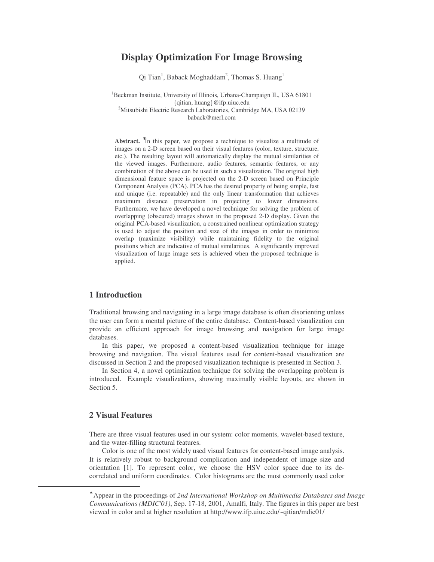# **Display Optimization For Image Browsing**

Qi Tian<sup>1</sup>, Baback Moghaddam<sup>2</sup>, Thomas S. Huang<sup>1</sup>

<sup>1</sup>Beckman Institute, University of Illinois, Urbana-Champaign IL, USA 61801 {qitian, huang}@ifp.uiuc.edu <sup>2</sup>Mitsubishi Electric Research Laboratories, Cambridge MA, USA 02139 baback@merl.com

Abstract. <sup>\*</sup>In this paper, we propose a technique to visualize a multitude of images on a 2-D screen based on their visual features (color, texture, structure, etc.). The resulting layout will automatically display the mutual similarities of the viewed images. Furthermore, audio features, semantic features, or any combination of the above can be used in such a visualization. The original high dimensional feature space is projected on the 2-D screen based on Principle Component Analysis (PCA). PCA has the desired property of being simple, fast and unique (i.e. repeatable) and the only linear transformation that achieves maximum distance preservation in projecting to lower dimensions. Furthermore, we have developed a novel technique for solving the problem of overlapping (obscured) images shown in the proposed 2-D display. Given the original PCA-based visualization, a constrained nonlinear optimization strategy is used to adjust the position and size of the images in order to minimize overlap (maximize visibility) while maintaining fidelity to the original positions which are indicative of mutual similarities. A significantly improved visualization of large image sets is achieved when the proposed technique is applied.

### **1 Introduction**

Traditional browsing and navigating in a large image database is often disorienting unless the user can form a mental picture of the entire database. Content-based visualization can provide an efficient approach for image browsing and navigation for large image databases.

In this paper, we proposed a content-based visualization technique for image browsing and navigation. The visual features used for content-based visualization are discussed in Section 2 and the proposed visualization technique is presented in Section 3.

In Section 4, a novel optimization technique for solving the overlapping problem is introduced. Example visualizations, showing maximally visible layouts, are shown in Section 5.

### **2 Visual Features**

There are three visual features used in our system: color moments, wavelet-based texture, and the water-filling structural features.

Color is one of the most widely used visual features for content-based image analysis. It is relatively robust to background complication and independent of image size and orientation [1]. To represent color, we choose the HSV color space due to its decorrelated and uniform coordinates. Color histograms are the most commonly used color

<sup>∗</sup> Appear in the proceedings of *2nd International Workshop on Multimedia Databases and Image Communications (MDIC'01)*, Sep. 17-18, 2001, Amalfi, Italy. The figures in this paper are best viewed in color and at higher resolution at http://www.ifp.uiuc.edu/~qitian/mdic01/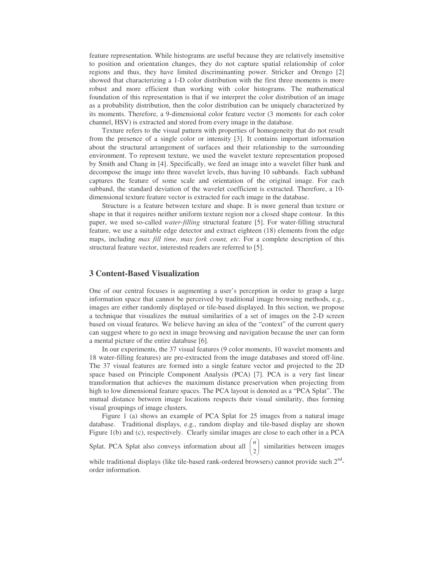feature representation. While histograms are useful because they are relatively insensitive to position and orientation changes, they do not capture spatial relationship of color regions and thus, they have limited discriminanting power. Stricker and Orengo [2] showed that characterizing a 1-D color distribution with the first three moments is more robust and more efficient than working with color histograms. The mathematical foundation of this representation is that if we interpret the color distribution of an image as a probability distribution, then the color distribution can be uniquely characterized by its moments. Therefore, a 9-dimensional color feature vector (3 moments for each color channel, HSV) is extracted and stored from every image in the database.

Texture refers to the visual pattern with properties of homogeneity that do not result from the presence of a single color or intensity [3]. It contains important information about the structural arrangement of surfaces and their relationship to the surrounding environment. To represent texture, we used the wavelet texture representation proposed by Smith and Chang in [4]. Specifically, we feed an image into a wavelet filter bank and decompose the image into three wavelet levels, thus having 10 subbands. Each subband captures the feature of some scale and orientation of the original image. For each subband, the standard deviation of the wavelet coefficient is extracted. Therefore, a 10 dimensional texture feature vector is extracted for each image in the database.

Structure is a feature between texture and shape. It is more general than texture or shape in that it requires neither uniform texture region nor a closed shape contour. In this paper, we used so-called *water-filling* structural feature [5]. For water-filling structural feature, we use a suitable edge detector and extract eighteen (18) elements from the edge maps, including *max fill time, max fork count, etc.* For a complete description of this structural feature vector, interested readers are referred to [5].

### **3 Content-Based Visualization**

One of our central focuses is augmenting a user's perception in order to grasp a large information space that cannot be perceived by traditional image browsing methods, e.g., images are either randomly displayed or tile-based displayed. In this section, we propose a technique that visualizes the mutual similarities of a set of images on the 2-D screen based on visual features. We believe having an idea of the "context" of the current query can suggest where to go next in image browsing and navigation because the user can form a mental picture of the entire database [6].

In our experiments, the 37 visual features (9 color moments, 10 wavelet moments and 18 water-filling features) are pre-extracted from the image databases and stored off-line. The 37 visual features are formed into a single feature vector and projected to the 2D space based on Principle Component Analysis (PCA) [7]. PCA is a very fast linear transformation that achieves the maximum distance preservation when projecting from high to low dimensional feature spaces. The PCA layout is denoted as a "PCA Splat". The mutual distance between image locations respects their visual similarity, thus forming visual groupings of image clusters.

Figure 1 (a) shows an example of PCA Splat for 25 images from a natural image database. Traditional displays, e.g., random display and tile-based display are shown Figure 1(b) and (c), respectively. Clearly similar images are close to each other in a PCA

Splat. PCA Splat also conveys information about all  $\begin{bmatrix} n \\ 2 \end{bmatrix}$ - $\backslash$  $\mathsf{I}$ l ſ 2  $\binom{n}{k}$  similarities between images

while traditional displays (like tile-based rank-ordered browsers) cannot provide such  $2<sup>nd</sup>$ order information.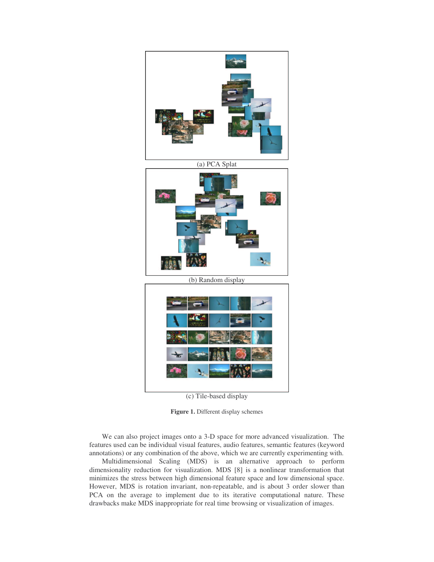

(c) Tile-based display

**Figure 1.** Different display schemes

We can also project images onto a 3-D space for more advanced visualization. The features used can be individual visual features, audio features, semantic features (keyword annotations) or any combination of the above, which we are currently experimenting with.

Multidimensional Scaling (MDS) is an alternative approach to perform dimensionality reduction for visualization. MDS [8] is a nonlinear transformation that minimizes the stress between high dimensional feature space and low dimensional space. However, MDS is rotation invariant, non-repeatable, and is about 3 order slower than PCA on the average to implement due to its iterative computational nature. These drawbacks make MDS inappropriate for real time browsing or visualization of images.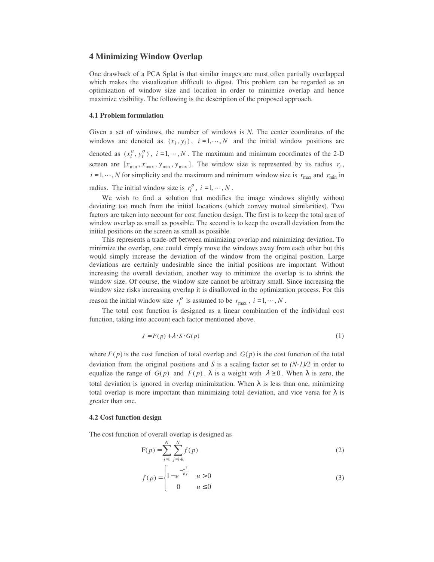### **4 Minimizing Window Overlap**

One drawback of a PCA Splat is that similar images are most often partially overlapped which makes the visualization difficult to digest. This problem can be regarded as an optimization of window size and location in order to minimize overlap and hence maximize visibility. The following is the description of the proposed approach.

#### **4.1 Problem formulation**

Given a set of windows, the number of windows is *N.* The center coordinates of the windows are denoted as  $(x_i, y_i)$ ,  $i = 1, \dots, N$  and the initial window positions are denoted as  $(x_i^o, y_i^o)$ ,  $i = 1, \dots, N$ . The maximum and minimum coordinates of the 2-D screen are  $[x_{\text{min}}, x_{\text{max}}, y_{\text{min}}, y_{\text{max}}]$ . The window size is represented by its radius  $r_i$ ,  $i = 1, \dots, N$  for simplicity and the maximum and minimum window size is  $r_{\text{max}}$  and  $r_{\text{min}}$  in

radius. The initial window size is  $r_i^o$ ,  $i = 1, \dots, N$ .

We wish to find a solution that modifies the image windows slightly without deviating too much from the initial locations (which convey mutual similarities). Two factors are taken into account for cost function design. The first is to keep the total area of window overlap as small as possible. The second is to keep the overall deviation from the initial positions on the screen as small as possible.

This represents a trade-off between minimizing overlap and minimizing deviation. To minimize the overlap, one could simply move the windows away from each other but this would simply increase the deviation of the window from the original position. Large deviations are certainly undesirable since the initial positions are important. Without increasing the overall deviation, another way to minimize the overlap is to shrink the window size. Of course, the window size cannot be arbitrary small. Since increasing the window size risks increasing overlap it is disallowed in the optimization process. For this reason the initial window size  $r_i^o$  is assumed to be  $r_{\text{max}}$ ,  $i = 1, \dots, N$ .

The total cost function is designed as a linear combination of the individual cost function, taking into account each factor mentioned above.

$$
J = F(p) + \lambda \cdot S \cdot G(p) \tag{1}
$$

where  $F(p)$  is the cost function of total overlap and  $G(p)$  is the cost function of the total deviation from the original positions and *S* is a scaling factor set to *(N-1)/2* in order to equalize the range of  $G(p)$  and  $F(p)$ .  $\lambda$  is a weight with  $\lambda \ge 0$ . When  $\lambda$  is zero, the total deviation is ignored in overlap minimization. When  $\lambda$  is less than one, minimizing total overlap is more important than minimizing total deviation, and vice versa for  $\lambda$  is greater than one.

#### **4.2 Cost function design**

The cost function of overall overlap is designed as

$$
F(p) = \sum_{i=1}^{N} \sum_{j=i+1}^{N} f(p)
$$
 (2)

$$
f(p) = \begin{cases} 1 - e^{-\frac{u^2}{\sigma_f}} & u > 0 \\ 0 & u \le 0 \end{cases}
$$
 (3)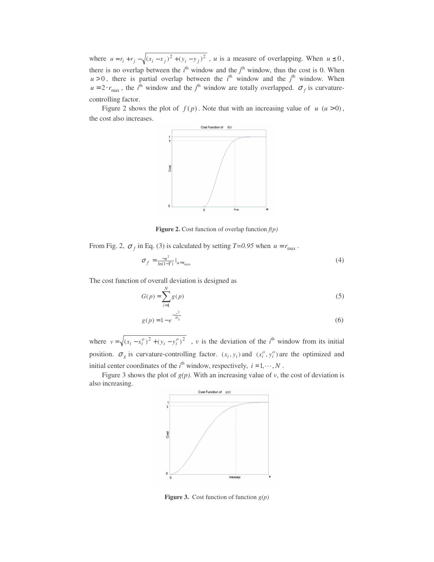where  $u = r_i + r_j - \sqrt{(x_i - x_j)^2 + (y_i - y_j)^2}$ , *u* is a measure of overlapping. When  $u \le 0$ , there is no overlap between the  $i^{\text{th}}$  window and the  $j^{\text{th}}$  window, thus the cost is 0. When  $u > 0$ , there is partial overlap between the  $i<sup>th</sup>$  window and the  $j<sup>th</sup>$  window. When  $u = 2 \cdot r_{\text{max}}$ , the *i*<sup>th</sup> window and the *j*<sup>th</sup> window are totally overlapped.  $\sigma_f$  is curvaturecontrolling factor.

Figure 2 shows the plot of  $f(p)$ . Note that with an increasing value of  $u(u>0)$ , the cost also increases.



**Figure 2.** Cost function of overlap function *f(p)*

From Fig. 2,  $\sigma_f$  in Eq. (3) is calculated by setting *T*=0.95 when  $u = r_{\text{max}}$ .

$$
\sigma_f = \frac{-u^2}{\ln(1-T)} \Big|_{u = r_{\text{max}}} \tag{4}
$$

The cost function of overall deviation is designed as

$$
G(p) = \sum_{i=1}^{N} g(p) \tag{5}
$$

$$
g(p) = 1 - e^{-\frac{v^2}{\sigma_g}}
$$
\n
$$
(6)
$$

where  $v = \sqrt{(x_i - x_i^o)^2 + (y_i - y_i^o)^2}$ , *v* is the deviation of the *i*<sup>th</sup> window from its initial position.  $\sigma_g$  is curvature-controlling factor.  $(x_i, y_i)$  and  $(x_i^o, y_i^o)$  are the optimized and initial center coordinates of the  $i^{\text{th}}$  window, respectively,  $i = 1, \dots, N$ .

Figure 3 shows the plot of  $g(p)$ . With an increasing value of *v*, the cost of deviation is also increasing.



**Figure 3.** Cost function of function *g(p)*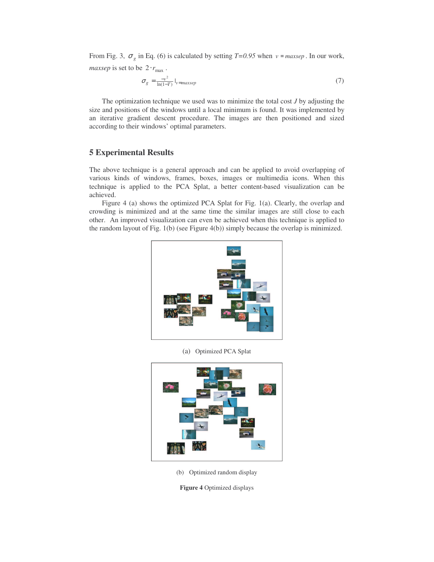From Fig. 3,  $\sigma_g$  in Eq. (6) is calculated by setting *T*=0.95 when  $v = \text{maxsep}$ . In our work, *maxsep* is set to be  $2 \cdot r_{\text{max}}$ .

$$
\sigma_g = \frac{-v^2}{\ln(1-T)} \Big|_{v=\text{maxsep}} \tag{7}
$$

The optimization technique we used was to minimize the total cost *J* by adjusting the size and positions of the windows until a local minimum is found. It was implemented by an iterative gradient descent procedure. The images are then positioned and sized according to their windows' optimal parameters.

## **5 Experimental Results**

The above technique is a general approach and can be applied to avoid overlapping of various kinds of windows, frames, boxes, images or multimedia icons. When this technique is applied to the PCA Splat, a better content-based visualization can be achieved.

Figure 4 (a) shows the optimized PCA Splat for Fig. 1(a). Clearly, the overlap and crowding is minimized and at the same time the similar images are still close to each other. An improved visualization can even be achieved when this technique is applied to the random layout of Fig.  $1(b)$  (see Figure  $4(b)$ ) simply because the overlap is minimized.



(a) Optimized PCA Splat



(b) Optimized random display

**Figure 4** Optimized displays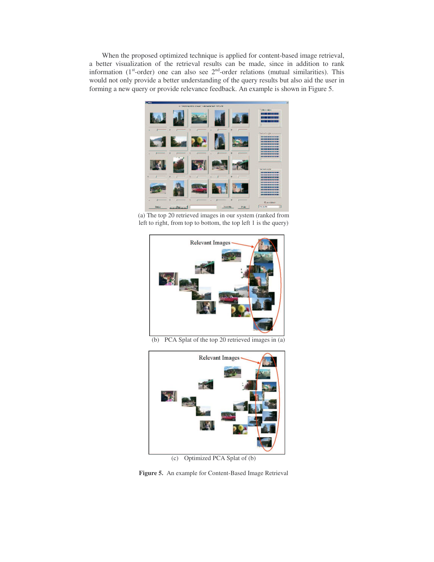When the proposed optimized technique is applied for content-based image retrieval, a better visualization of the retrieval results can be made, since in addition to rank information ( $1<sup>st</sup>$ -order) one can also see  $2<sup>nd</sup>$ -order relations (mutual similarities). This would not only provide a better understanding of the query results but also aid the user in forming a new query or provide relevance feedback. An example is shown in Figure 5.



(a) The top 20 retrieved images in our system (ranked from left to right, from top to bottom, the top left 1 is the query)



(b) PCA Splat of the top 20 retrieved images in (a)



(c) Optimized PCA Splat of (b)

**Figure 5.** An example for Content-Based Image Retrieval